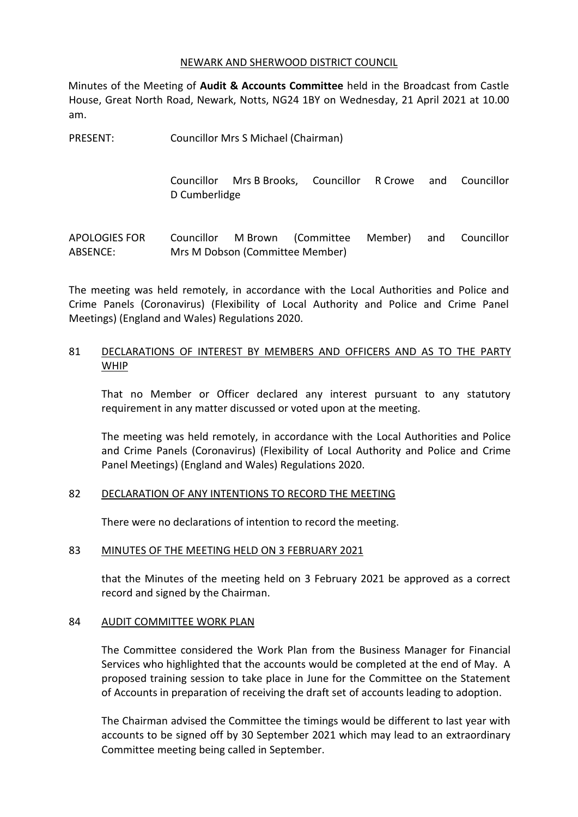#### NEWARK AND SHERWOOD DISTRICT COUNCIL

Minutes of the Meeting of **Audit & Accounts Committee** held in the Broadcast from Castle House, Great North Road, Newark, Notts, NG24 1BY on Wednesday, 21 April 2021 at 10.00 am.

PRESENT: Councillor Mrs S Michael (Chairman)

Councillor Mrs B Brooks, Councillor R Crowe and Councillor D Cumberlidge

APOLOGIES FOR ABSENCE: Councillor M Brown (Committee Member) and Councillor Mrs M Dobson (Committee Member)

The meeting was held remotely, in accordance with the Local Authorities and Police and Crime Panels (Coronavirus) (Flexibility of Local Authority and Police and Crime Panel Meetings) (England and Wales) Regulations 2020.

# 81 DECLARATIONS OF INTEREST BY MEMBERS AND OFFICERS AND AS TO THE PARTY WHIP

That no Member or Officer declared any interest pursuant to any statutory requirement in any matter discussed or voted upon at the meeting.

The meeting was held remotely, in accordance with the Local Authorities and Police and Crime Panels (Coronavirus) (Flexibility of Local Authority and Police and Crime Panel Meetings) (England and Wales) Regulations 2020.

# 82 DECLARATION OF ANY INTENTIONS TO RECORD THE MEETING

There were no declarations of intention to record the meeting.

# 83 MINUTES OF THE MEETING HELD ON 3 FEBRUARY 2021

that the Minutes of the meeting held on 3 February 2021 be approved as a correct record and signed by the Chairman.

# 84 AUDIT COMMITTEE WORK PLAN

The Committee considered the Work Plan from the Business Manager for Financial Services who highlighted that the accounts would be completed at the end of May. A proposed training session to take place in June for the Committee on the Statement of Accounts in preparation of receiving the draft set of accounts leading to adoption.

The Chairman advised the Committee the timings would be different to last year with accounts to be signed off by 30 September 2021 which may lead to an extraordinary Committee meeting being called in September.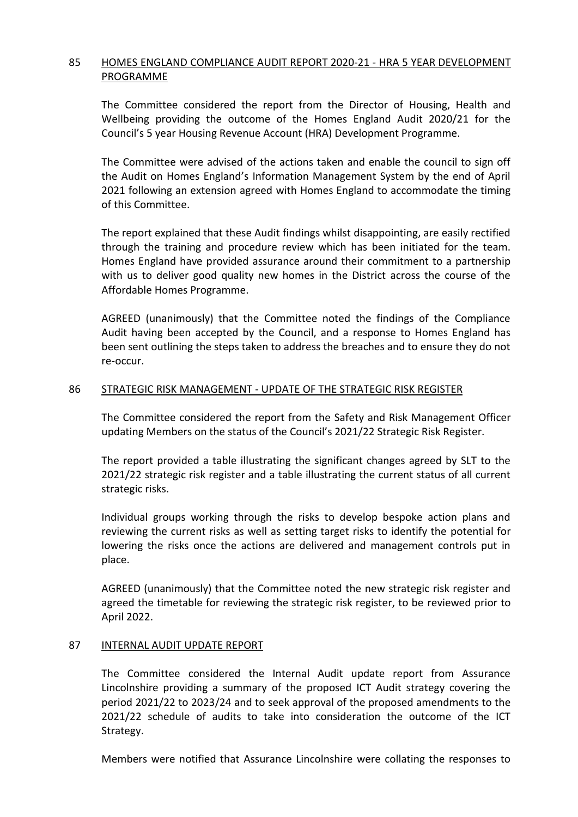# 85 HOMES ENGLAND COMPLIANCE AUDIT REPORT 2020-21 - HRA 5 YEAR DEVELOPMENT PROGRAMME

The Committee considered the report from the Director of Housing, Health and Wellbeing providing the outcome of the Homes England Audit 2020/21 for the Council's 5 year Housing Revenue Account (HRA) Development Programme.

The Committee were advised of the actions taken and enable the council to sign off the Audit on Homes England's Information Management System by the end of April 2021 following an extension agreed with Homes England to accommodate the timing of this Committee.

The report explained that these Audit findings whilst disappointing, are easily rectified through the training and procedure review which has been initiated for the team. Homes England have provided assurance around their commitment to a partnership with us to deliver good quality new homes in the District across the course of the Affordable Homes Programme.

AGREED (unanimously) that the Committee noted the findings of the Compliance Audit having been accepted by the Council, and a response to Homes England has been sent outlining the steps taken to address the breaches and to ensure they do not re-occur.

# 86 STRATEGIC RISK MANAGEMENT - UPDATE OF THE STRATEGIC RISK REGISTER

The Committee considered the report from the Safety and Risk Management Officer updating Members on the status of the Council's 2021/22 Strategic Risk Register.

The report provided a table illustrating the significant changes agreed by SLT to the 2021/22 strategic risk register and a table illustrating the current status of all current strategic risks.

Individual groups working through the risks to develop bespoke action plans and reviewing the current risks as well as setting target risks to identify the potential for lowering the risks once the actions are delivered and management controls put in place.

AGREED (unanimously) that the Committee noted the new strategic risk register and agreed the timetable for reviewing the strategic risk register, to be reviewed prior to April 2022.

# 87 INTERNAL AUDIT UPDATE REPORT

The Committee considered the Internal Audit update report from Assurance Lincolnshire providing a summary of the proposed ICT Audit strategy covering the period 2021/22 to 2023/24 and to seek approval of the proposed amendments to the 2021/22 schedule of audits to take into consideration the outcome of the ICT Strategy.

Members were notified that Assurance Lincolnshire were collating the responses to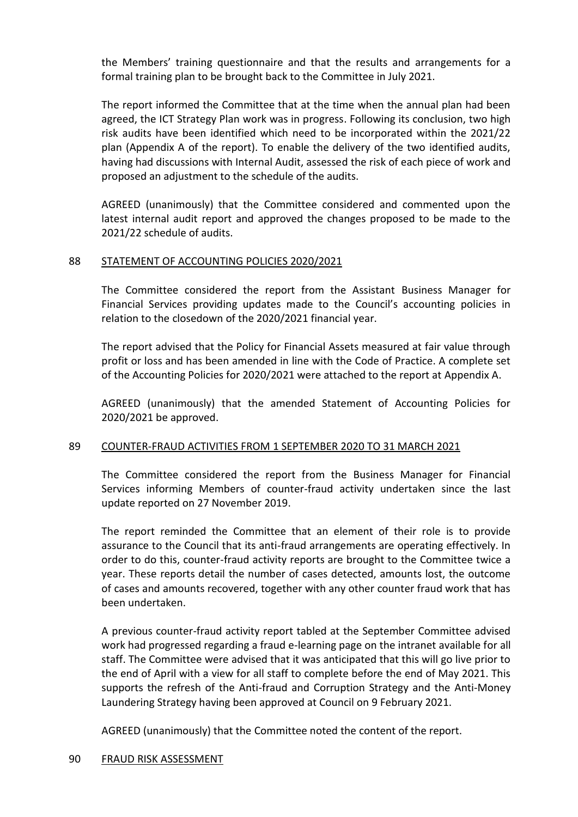the Members' training questionnaire and that the results and arrangements for a formal training plan to be brought back to the Committee in July 2021.

The report informed the Committee that at the time when the annual plan had been agreed, the ICT Strategy Plan work was in progress. Following its conclusion, two high risk audits have been identified which need to be incorporated within the 2021/22 plan (Appendix A of the report). To enable the delivery of the two identified audits, having had discussions with Internal Audit, assessed the risk of each piece of work and proposed an adjustment to the schedule of the audits.

AGREED (unanimously) that the Committee considered and commented upon the latest internal audit report and approved the changes proposed to be made to the 2021/22 schedule of audits.

# 88 STATEMENT OF ACCOUNTING POLICIES 2020/2021

The Committee considered the report from the Assistant Business Manager for Financial Services providing updates made to the Council's accounting policies in relation to the closedown of the 2020/2021 financial year.

The report advised that the Policy for Financial Assets measured at fair value through profit or loss and has been amended in line with the Code of Practice. A complete set of the Accounting Policies for 2020/2021 were attached to the report at Appendix A.

AGREED (unanimously) that the amended Statement of Accounting Policies for 2020/2021 be approved.

# 89 COUNTER-FRAUD ACTIVITIES FROM 1 SEPTEMBER 2020 TO 31 MARCH 2021

The Committee considered the report from the Business Manager for Financial Services informing Members of counter-fraud activity undertaken since the last update reported on 27 November 2019.

The report reminded the Committee that an element of their role is to provide assurance to the Council that its anti-fraud arrangements are operating effectively. In order to do this, counter-fraud activity reports are brought to the Committee twice a year. These reports detail the number of cases detected, amounts lost, the outcome of cases and amounts recovered, together with any other counter fraud work that has been undertaken.

A previous counter-fraud activity report tabled at the September Committee advised work had progressed regarding a fraud e-learning page on the intranet available for all staff. The Committee were advised that it was anticipated that this will go live prior to the end of April with a view for all staff to complete before the end of May 2021. This supports the refresh of the Anti-fraud and Corruption Strategy and the Anti-Money Laundering Strategy having been approved at Council on 9 February 2021.

AGREED (unanimously) that the Committee noted the content of the report.

#### 90 FRAUD RISK ASSESSMENT